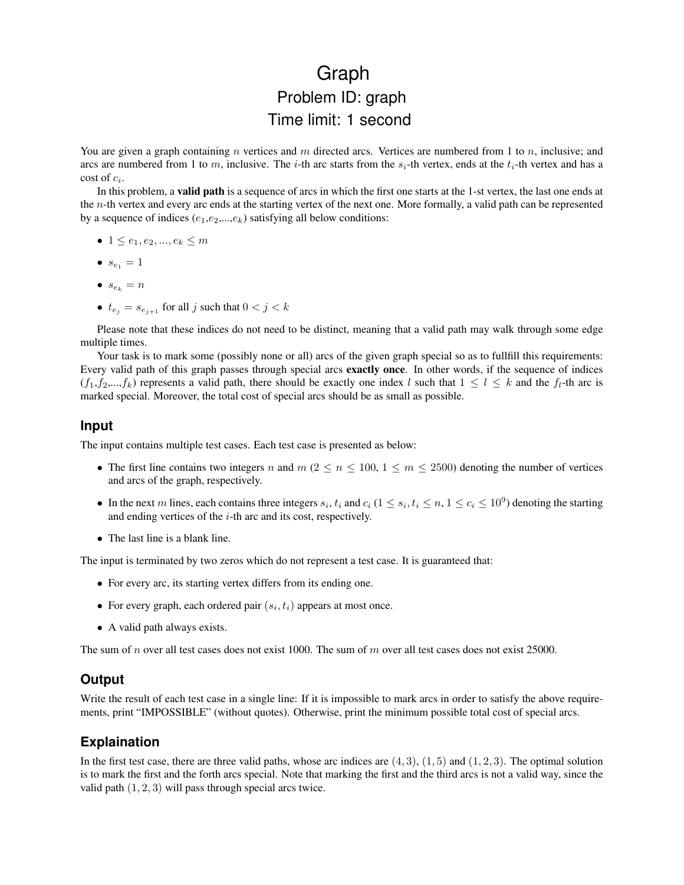## Graph Problem ID: graph Time limit: 1 second

You are given a graph containing n vertices and m directed arcs. Vertices are numbered from 1 to  $n$ , inclusive; and arcs are numbered from 1 to m, inclusive. The i-th arc starts from the  $s_i$ -th vertex, ends at the  $t_i$ -th vertex and has a  $\cot$  of  $c_i$ .

In this problem, a valid path is a sequence of arcs in which the first one starts at the 1-st vertex, the last one ends at the n-th vertex and every arc ends at the starting vertex of the next one. More formally, a valid path can be represented by a sequence of indices  $(e_1,e_2,...,e_k)$  satisfying all below conditions:

- $1 \leq e_1, e_2, ..., e_k \leq m$
- $s_{e_1} = 1$
- $s_{e_k} = n$
- $t_{e_j} = s_{e_{j+1}}$  for all j such that  $0 < j < k$

Please note that these indices do not need to be distinct, meaning that a valid path may walk through some edge multiple times.

Your task is to mark some (possibly none or all) arcs of the given graph special so as to fullfill this requirements: Every valid path of this graph passes through special arcs exactly once. In other words, if the sequence of indices  $(f_1, f_2,...,f_k)$  represents a valid path, there should be exactly one index l such that  $1 \leq l \leq k$  and the  $f_l$ -th arc is marked special. Moreover, the total cost of special arcs should be as small as possible.

## **Input**

The input contains multiple test cases. Each test case is presented as below:

- The first line contains two integers n and  $m$  ( $2 \le n \le 100$ ,  $1 \le m \le 2500$ ) denoting the number of vertices and arcs of the graph, respectively.
- In the next m lines, each contains three integers  $s_i, t_i$  and  $c_i$  ( $1 \leq s_i, t_i \leq n, 1 \leq c_i \leq 10^9$ ) denoting the starting and ending vertices of the  $i$ -th arc and its cost, respectively.
- The last line is a blank line.

The input is terminated by two zeros which do not represent a test case. It is guaranteed that:

- For every arc, its starting vertex differs from its ending one.
- For every graph, each ordered pair  $(s_i, t_i)$  appears at most once.
- A valid path always exists.

The sum of n over all test cases does not exist 1000. The sum of m over all test cases does not exist 25000.

## **Output**

Write the result of each test case in a single line: If it is impossible to mark arcs in order to satisfy the above requirements, print "IMPOSSIBLE" (without quotes). Otherwise, print the minimum possible total cost of special arcs.

## **Explaination**

In the first test case, there are three valid paths, whose arc indices are  $(4, 3)$ ,  $(1, 5)$  and  $(1, 2, 3)$ . The optimal solution is to mark the first and the forth arcs special. Note that marking the first and the third arcs is not a valid way, since the valid path (1, 2, 3) will pass through special arcs twice.